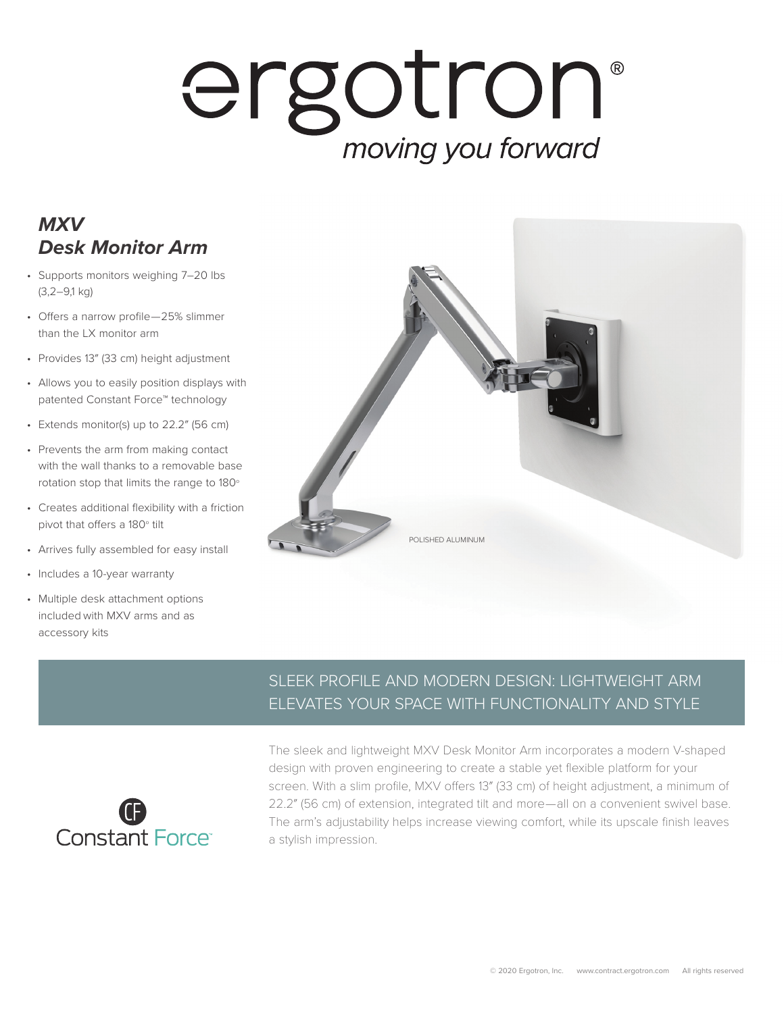# ergotron® moving you forward

## *MXV Desk Monitor Arm*

- Supports monitors weighing 7–20 lbs (3,2–9,1 kg)
- Offers a narrow profile—25% slimmer than the LX monitor arm
- Provides 13″ (33 cm) height adjustment
- Allows you to easily position displays with patented Constant Force™ technology
- Extends monitor(s) up to 22.2″ (56 cm)
- Prevents the arm from making contact with the wall thanks to a removable base rotation stop that limits the range to 180°
- Creates additional flexibility with a friction pivot that offers a 180° tilt
- Arrives fully assembled for easy install
- Includes a 10-year warranty
- Multiple desk attachment options included with MXV arms and as accessory kits



#### SLEEK PROFILE AND MODERN DESIGN: LIGHTWEIGHT ARM ELEVATES YOUR SPACE WITH FUNCTIONALITY AND STYLE



The sleek and lightweight MXV Desk Monitor Arm incorporates a modern V-shaped design with proven engineering to create a stable yet flexible platform for your screen. With a slim profile, MXV offers 13″ (33 cm) of height adjustment, a minimum of 22.2″ (56 cm) of extension, integrated tilt and more—all on a convenient swivel base. The arm's adjustability helps increase viewing comfort, while its upscale finish leaves a stylish impression.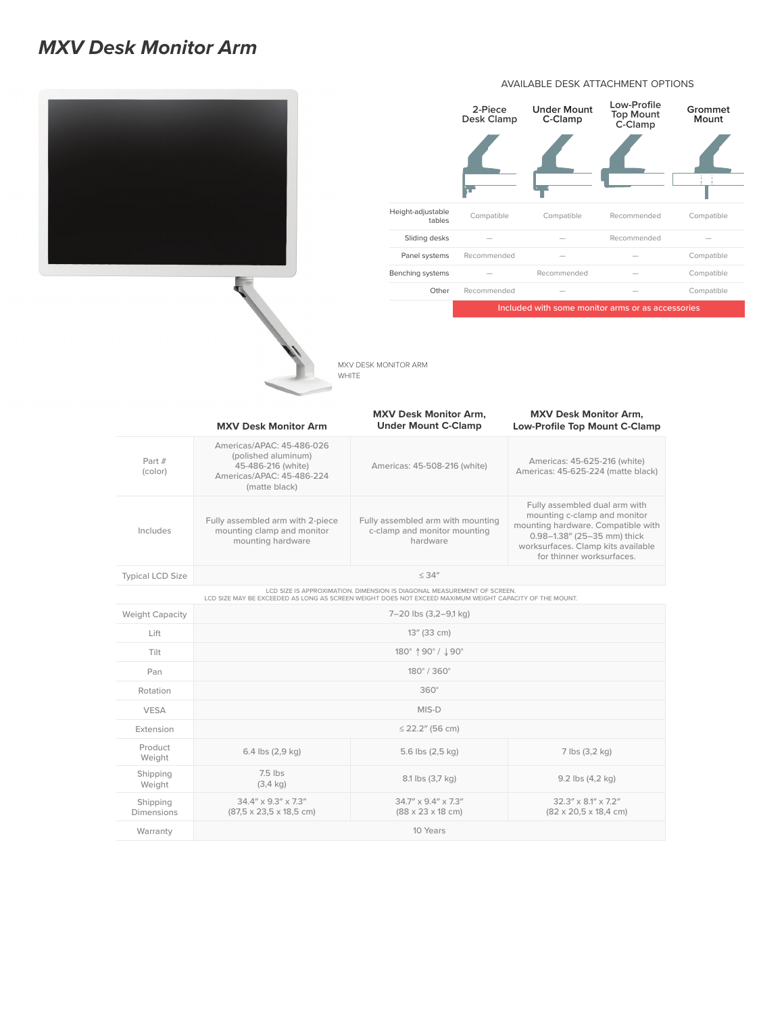### *MXV Desk Monitor Arm*







MXV DESK MONITOR ARM WHITE

|                         | <b>MXV Desk Monitor Arm</b>                                                                                          | <b>MXV Desk Monitor Arm.</b><br><b>Under Mount C-Clamp</b>                                                                                                                         | <b>MXV Desk Monitor Arm,</b><br><b>Low-Profile Top Mount C-Clamp</b>                                                                                                                                  |
|-------------------------|----------------------------------------------------------------------------------------------------------------------|------------------------------------------------------------------------------------------------------------------------------------------------------------------------------------|-------------------------------------------------------------------------------------------------------------------------------------------------------------------------------------------------------|
| Part #<br>(color)       | Americas/APAC: 45-486-026<br>(polished aluminum)<br>45-486-216 (white)<br>Americas/APAC: 45-486-224<br>(matte black) | Americas: 45-508-216 (white)                                                                                                                                                       | Americas: 45-625-216 (white)<br>Americas: 45-625-224 (matte black)                                                                                                                                    |
| Includes                | Fully assembled arm with 2-piece<br>mounting clamp and monitor<br>mounting hardware                                  | Fully assembled arm with mounting<br>c-clamp and monitor mounting<br>hardware                                                                                                      | Fully assembled dual arm with<br>mounting c-clamp and monitor<br>mounting hardware. Compatible with<br>0.98-1.38" (25-35 mm) thick<br>worksurfaces. Clamp kits available<br>for thinner worksurfaces. |
| <b>Typical LCD Size</b> | $\leq 34''$                                                                                                          |                                                                                                                                                                                    |                                                                                                                                                                                                       |
|                         |                                                                                                                      | LCD SIZE IS APPROXIMATION. DIMENSION IS DIAGONAL MEASUREMENT OF SCREEN.<br>LCD SIZE MAY BE EXCEEDED AS LONG AS SCREEN WEIGHT DOES NOT EXCEED MAXIMUM WEIGHT CAPACITY OF THE MOUNT. |                                                                                                                                                                                                       |
| <b>Weight Capacity</b>  | 7-20 lbs (3,2-9,1 kg)                                                                                                |                                                                                                                                                                                    |                                                                                                                                                                                                       |
| Lift                    | 13" (33 cm)                                                                                                          |                                                                                                                                                                                    |                                                                                                                                                                                                       |
| Tilt                    | 180° 190° / 190°                                                                                                     |                                                                                                                                                                                    |                                                                                                                                                                                                       |
| Pan                     | 180°/360°                                                                                                            |                                                                                                                                                                                    |                                                                                                                                                                                                       |
| Rotation                | $360^\circ$                                                                                                          |                                                                                                                                                                                    |                                                                                                                                                                                                       |
| <b>VESA</b>             | MIS-D                                                                                                                |                                                                                                                                                                                    |                                                                                                                                                                                                       |
| Extension               | $\leq$ 22.2" (56 cm)                                                                                                 |                                                                                                                                                                                    |                                                                                                                                                                                                       |
| Product<br>Weight       | 6.4 lbs (2,9 kg)                                                                                                     | 5.6 lbs (2,5 kg)                                                                                                                                                                   | 7 lbs (3,2 kg)                                                                                                                                                                                        |
| Shipping<br>Weight      | $7.5$ lbs<br>$(3, 4 \text{ kg})$                                                                                     | 8.1 lbs (3,7 kg)                                                                                                                                                                   | 9.2 lbs (4,2 kg)                                                                                                                                                                                      |
| Shipping<br>Dimensions  | $34.4'' \times 9.3'' \times 7.3''$<br>$(87,5 \times 23,5 \times 18,5 \text{ cm})$                                    | $34.7'' \times 9.4'' \times 7.3''$<br>$(88 \times 23 \times 18 \text{ cm})$                                                                                                        | $32.3'' \times 8.1'' \times 7.2''$<br>$(82 \times 20, 5 \times 18, 4 \text{ cm})$                                                                                                                     |
| Warranty                | 10 Years                                                                                                             |                                                                                                                                                                                    |                                                                                                                                                                                                       |

#### AVAILABLE DESK ATTACHMENT OPTIONS